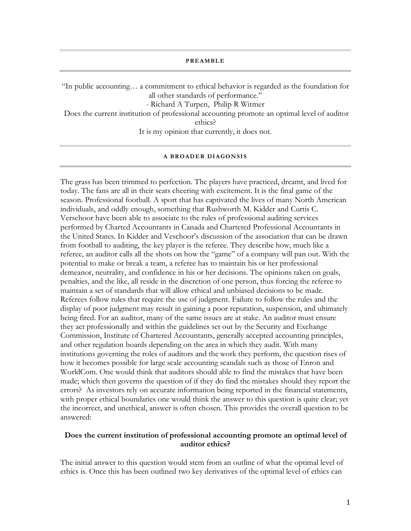**PREAMBLE** 

"In public accounting… a commitment to ethical behavior is regarded as the foundation for all other standards of performance." - Richard A Turpen, Philip R Witmer Does the current institution of professional accounting promote an optimal level of auditor

ethics?

It is my opinion that currently, it does not.

#### **A BROADER DIAGONSIS**

The grass has been trimmed to perfection. The players have practiced, dreamt, and lived for today. The fans are all in their seats cheering with excitement. It is the final game of the season. Professional football. A sport that has captivated the lives of many North American individuals, and oddly enough, something that Rushworth M. Kidder and Curtis C. Verschoor have been able to associate to the rules of professional auditing services performed by Charted Accountants in Canada and Chartered Professional Accountants in the United States. In Kidder and Veschoor's discussion of the association that can be drawn from football to auditing, the key player is the referee. They describe how, much like a referee, an auditor calls all the shots on how the "game" of a company will pan out. With the potential to make or break a team, a referee has to maintain his or her professional demeanor, neutrality, and confidence in his or her decisions. The opinions taken on goals, penalties, and the like, all reside in the discretion of one person, thus forcing the referee to maintain a set of standards that will allow ethical and unbiased decisions to be made. Referees follow rules that require the use of judgment. Failure to follow the rules and the display of poor judgment may result in gaining a poor reputation, suspension, and ultimately being fired. For an auditor, many of the same issues are at stake. An auditor must ensure they act professionally and within the guidelines set out by the Security and Exchange Commission, Institute of Chartered Accountants, generally accepted accounting principles, and other regulation boards depending on the area in which they audit. With many institutions governing the roles of auditors and the work they perform, the question rises of how it becomes possible for large scale accounting scandals such as those of Enron and WorldCom. One would think that auditors should able to find the mistakes that have been made; which then governs the question of if they do find the mistakes should they report the errors? As investors rely on accurate information being reported in the financial statements, with proper ethical boundaries one would think the answer to this question is quite clear; yet the incorrect, and unethical, answer is often chosen. This provides the overall question to be answered:

## **Does the current institution of professional accounting promote an optimal level of auditor ethics?**

The initial answer to this question would stem from an outline of what the optimal level of ethics is. Once this has been outlined two key derivatives of the optimal level of ethics can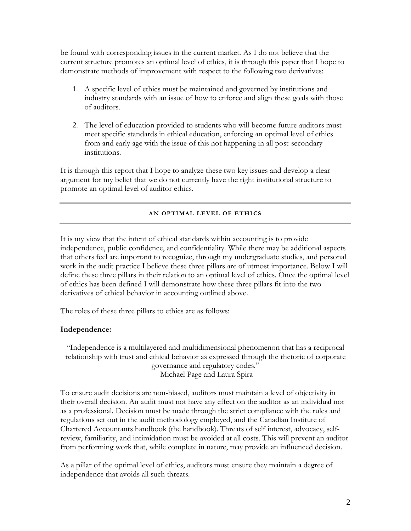be found with corresponding issues in the current market. As I do not believe that the current structure promotes an optimal level of ethics, it is through this paper that I hope to demonstrate methods of improvement with respect to the following two derivatives:

- 1. A specific level of ethics must be maintained and governed by institutions and industry standards with an issue of how to enforce and align these goals with those of auditors.
- 2. The level of education provided to students who will become future auditors must meet specific standards in ethical education, enforcing an optimal level of ethics from and early age with the issue of this not happening in all post-secondary institutions.

It is through this report that I hope to analyze these two key issues and develop a clear argument for my belief that we do not currently have the right institutional structure to promote an optimal level of auditor ethics.

### **AN OPTIMAL LEVEL OF ETHICS**

It is my view that the intent of ethical standards within accounting is to provide independence, public confidence, and confidentiality. While there may be additional aspects that others feel are important to recognize, through my undergraduate studies, and personal work in the audit practice I believe these three pillars are of utmost importance. Below I will define these three pillars in their relation to an optimal level of ethics. Once the optimal level of ethics has been defined I will demonstrate how these three pillars fit into the two derivatives of ethical behavior in accounting outlined above.

The roles of these three pillars to ethics are as follows:

# **Independence:**

"Independence is a multilayered and multidimensional phenomenon that has a reciprocal relationship with trust and ethical behavior as expressed through the rhetoric of corporate governance and regulatory codes." -Michael Page and Laura Spira

To ensure audit decisions are non-biased, auditors must maintain a level of objectivity in their overall decision. An audit must not have any effect on the auditor as an individual nor as a professional. Decision must be made through the strict compliance with the rules and regulations set out in the audit methodology employed, and the Canadian Institute of Chartered Accountants handbook (the handbook). Threats of self interest, advocacy, selfreview, familiarity, and intimidation must be avoided at all costs. This will prevent an auditor from performing work that, while complete in nature, may provide an influenced decision.

As a pillar of the optimal level of ethics, auditors must ensure they maintain a degree of independence that avoids all such threats.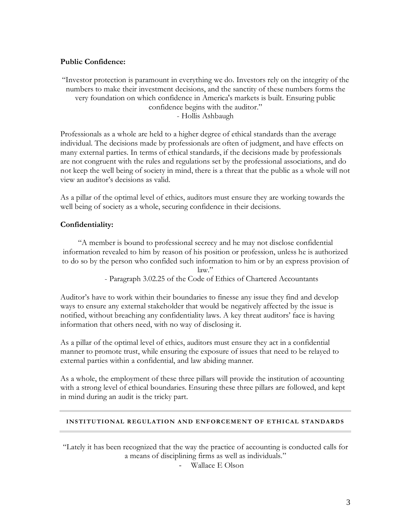# **Public Confidence:**

"Investor protection is paramount in everything we do. Investors rely on the integrity of the numbers to make their investment decisions, and the sanctity of these numbers forms the very foundation on which confidence in America's markets is built. Ensuring public confidence begins with the auditor." - Hollis Ashbaugh

Professionals as a whole are held to a higher degree of ethical standards than the average individual. The decisions made by professionals are often of judgment, and have effects on many external parties. In terms of ethical standards, if the decisions made by professionals are not congruent with the rules and regulations set by the professional associations, and do not keep the well being of society in mind, there is a threat that the public as a whole will not view an auditor's decisions as valid.

As a pillar of the optimal level of ethics, auditors must ensure they are working towards the well being of society as a whole, securing confidence in their decisions.

# **Confidentiality:**

"A member is bound to professional secrecy and he may not disclose confidential information revealed to him by reason of his position or profession, unless he is authorized to do so by the person who confided such information to him or by an express provision of  $law.$ "

- Paragraph 3.02.25 of the Code of Ethics of Chartered Accountants

Auditor's have to work within their boundaries to finesse any issue they find and develop ways to ensure any external stakeholder that would be negatively affected by the issue is notified, without breaching any confidentiality laws. A key threat auditors' face is having information that others need, with no way of disclosing it.

As a pillar of the optimal level of ethics, auditors must ensure they act in a confidential manner to promote trust, while ensuring the exposure of issues that need to be relayed to external parties within a confidential, and law abiding manner.

As a whole, the employment of these three pillars will provide the institution of accounting with a strong level of ethical boundaries. Ensuring these three pillars are followed, and kept in mind during an audit is the tricky part.

### **INSTITUTIONAL REGULATION AND ENFORCEMENT OF ETHICAL STANDARDS**

"Lately it has been recognized that the way the practice of accounting is conducted calls for a means of disciplining firms as well as individuals."

Wallace E Olson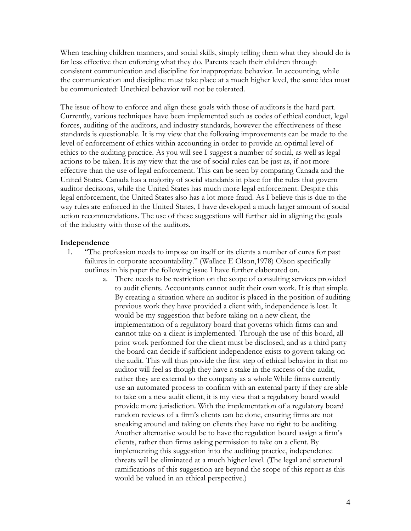When teaching children manners, and social skills, simply telling them what they should do is far less effective then enforcing what they do. Parents teach their children through consistent communication and discipline for inappropriate behavior. In accounting, while the communication and discipline must take place at a much higher level, the same idea must be communicated: Unethical behavior will not be tolerated.

The issue of how to enforce and align these goals with those of auditors is the hard part. Currently, various techniques have been implemented such as codes of ethical conduct, legal forces, auditing of the auditors, and industry standards, however the effectiveness of these standards is questionable. It is my view that the following improvements can be made to the level of enforcement of ethics within accounting in order to provide an optimal level of ethics to the auditing practice. As you will see I suggest a number of social, as well as legal actions to be taken. It is my view that the use of social rules can be just as, if not more effective than the use of legal enforcement. This can be seen by comparing Canada and the United States. Canada has a majority of social standards in place for the rules that govern auditor decisions, while the United States has much more legal enforcement. Despite this legal enforcement, the United States also has a lot more fraud. As I believe this is due to the way rules are enforced in the United States, I have developed a much larger amount of social action recommendations. The use of these suggestions will further aid in aligning the goals of the industry with those of the auditors.

## **Independence**

- 1. "The profession needs to impose on itself or its clients a number of cures for past failures in corporate accountability." (Wallace E Olson,1978) Olson specifically outlines in his paper the following issue I have further elaborated on.
	- a. There needs to be restriction on the scope of consulting services provided to audit clients. Accountants cannot audit their own work. It is that simple. By creating a situation where an auditor is placed in the position of auditing previous work they have provided a client with, independence is lost. It would be my suggestion that before taking on a new client, the implementation of a regulatory board that governs which firms can and cannot take on a client is implemented. Through the use of this board, all prior work performed for the client must be disclosed, and as a third party the board can decide if sufficient independence exists to govern taking on the audit. This will thus provide the first step of ethical behavior in that no auditor will feel as though they have a stake in the success of the audit, rather they are external to the company as a whole While firms currently use an automated process to confirm with an external party if they are able to take on a new audit client, it is my view that a regulatory board would provide more jurisdiction. With the implementation of a regulatory board random reviews of a firm's clients can be done, ensuring firms are not sneaking around and taking on clients they have no right to be auditing. Another alternative would be to have the regulation board assign a firm's clients, rather then firms asking permission to take on a client. By implementing this suggestion into the auditing practice, independence threats will be eliminated at a much higher level. (The legal and structural ramifications of this suggestion are beyond the scope of this report as this would be valued in an ethical perspective.)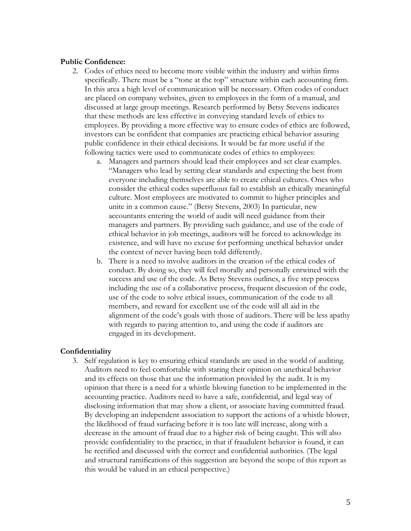## **Public Confidence:**

- 2. Codes of ethics need to become more visible within the industry and within firms specifically. There must be a "tone at the top" structure within each accounting firm. In this area a high level of communication will be necessary. Often codes of conduct are placed on company websites, given to employees in the form of a manual, and discussed at large group meetings. Research performed by Betsy Stevens indicates that these methods are less effective in conveying standard levels of ethics to employees. By providing a more effective way to ensure codes of ethics are followed, investors can be confident that companies are practicing ethical behavior assuring public confidence in their ethical decisions. It would be far more useful if the following tactics were used to communicate codes of ethics to employees:
	- a. Managers and partners should lead their employees and set clear examples. "Managers who lead by setting clear standards and expecting the best from everyone including themselves are able to create ethical cultures. Ones who consider the ethical codes superfluous fail to establish an ethically meaningful culture. Most employees are motivated to commit to higher principles and unite in a common cause." (Betsy Stevens, 2003) In particular, new accountants entering the world of audit will need guidance from their managers and partners. By providing such guidance, and use of the code of ethical behavior in job meetings, auditors will be forced to acknowledge its existence, and will have no excuse for performing unethical behavior under the context of never having been told differently.
	- b. There is a need to involve auditors in the creation of the ethical codes of conduct. By doing so, they will feel morally and personally entwined with the success and use of the code. As Betsy Stevens outlines, a five step process including the use of a collaborative process, frequent discussion of the code, use of the code to solve ethical issues, communication of the code to all members, and reward for excellent use of the code will all aid in the alignment of the code's goals with those of auditors. There will be less apathy with regards to paying attention to, and using the code if auditors are engaged in its development.

# **Confidentiality**

3. Self regulation is key to ensuring ethical standards are used in the world of auditing. Auditors need to feel comfortable with stating their opinion on unethical behavior and its effects on those that use the information provided by the audit. It is my opinion that there is a need for a whistle blowing function to be implemented in the accounting practice. Auditors need to have a safe, confidential, and legal way of disclosing information that may show a client, or associate having committed fraud. By developing an independent association to support the actions of a whistle blower, the likelihood of fraud surfacing before it is too late will increase, along with a decrease in the amount of fraud due to a higher risk of being caught. This will also provide confidentiality to the practice, in that if fraudulent behavior is found, it can be rectified and discussed with the correct and confidential authorities. (The legal and structural ramifications of this suggestion are beyond the scope of this report as this would be valued in an ethical perspective.)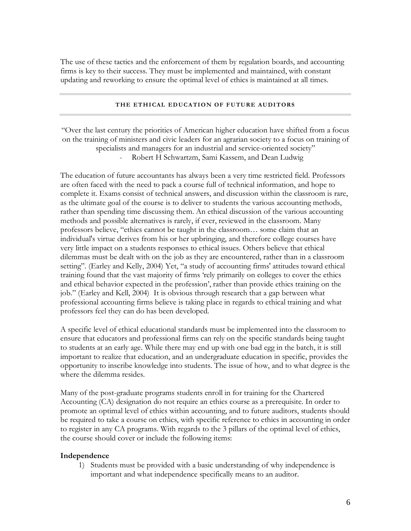The use of these tactics and the enforcement of them by regulation boards, and accounting firms is key to their success. They must be implemented and maintained, with constant updating and reworking to ensure the optimal level of ethics is maintained at all times.

#### **THE ETHICAL EDUCATION OF FUTURE AUDITORS**

"Over the last century the priorities of American higher education have shifted from a focus on the training of ministers and civic leaders for an agrarian society to a focus on training of specialists and managers for an industrial and service-oriented society" Robert H Schwartzm, Sami Kassem, and Dean Ludwig

The education of future accountants has always been a very time restricted field. Professors are often faced with the need to pack a course full of technical information, and hope to complete it. Exams consist of technical answers, and discussion within the classroom is rare, as the ultimate goal of the course is to deliver to students the various accounting methods, rather than spending time discussing them. An ethical discussion of the various accounting methods and possible alternatives is rarely, if ever, reviewed in the classroom. Many professors believe, "ethics cannot be taught in the classroom… some claim that an individual's virtue derives from his or her upbringing, and therefore college courses have very little impact on a students responses to ethical issues. Others believe that ethical dilemmas must be dealt with on the job as they are encountered, rather than in a classroom setting". (Earley and Kelly, 2004) Yet, "a study of accounting firms' attitudes toward ethical training found that the vast majority of firms 'rely primarily on colleges to cover the ethics and ethical behavior expected in the profession', rather than provide ethics training on the job." (Earley and Kell, 2004) It is obvious through research that a gap between what professional accounting firms believe is taking place in regards to ethical training and what professors feel they can do has been developed.

A specific level of ethical educational standards must be implemented into the classroom to ensure that educators and professional firms can rely on the specific standards being taught to students at an early age. While there may end up with one bad egg in the batch, it is still important to realize that education, and an undergraduate education in specific, provides the opportunity to inscribe knowledge into students. The issue of how, and to what degree is the where the dilemma resides.

Many of the post-graduate programs students enroll in for training for the Chartered Accounting (CA) designation do not require an ethics course as a prerequisite. In order to promote an optimal level of ethics within accounting, and to future auditors, students should be required to take a course on ethics, with specific reference to ethics in accounting in order to register in any CA programs. With regards to the 3 pillars of the optimal level of ethics, the course should cover or include the following items:

### **Independence**

1) Students must be provided with a basic understanding of why independence is important and what independence specifically means to an auditor.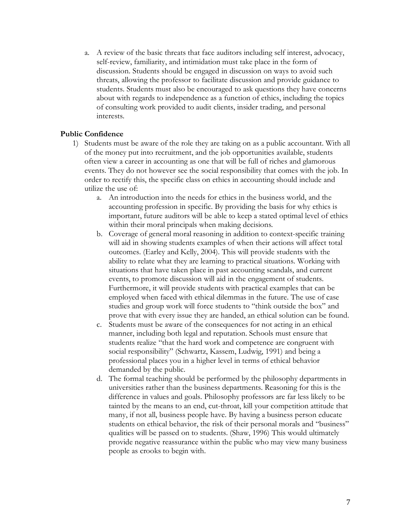a. A review of the basic threats that face auditors including self interest, advocacy, self-review, familiarity, and intimidation must take place in the form of discussion. Students should be engaged in discussion on ways to avoid such threats, allowing the professor to facilitate discussion and provide guidance to students. Students must also be encouraged to ask questions they have concerns about with regards to independence as a function of ethics, including the topics of consulting work provided to audit clients, insider trading, and personal interests.

# **Public Confidence**

- 1) Students must be aware of the role they are taking on as a public accountant. With all of the money put into recruitment, and the job opportunities available, students often view a career in accounting as one that will be full of riches and glamorous events. They do not however see the social responsibility that comes with the job. In order to rectify this, the specific class on ethics in accounting should include and utilize the use of:
	- a. An introduction into the needs for ethics in the business world, and the accounting profession in specific. By providing the basis for why ethics is important, future auditors will be able to keep a stated optimal level of ethics within their moral principals when making decisions.
	- b. Coverage of general moral reasoning in addition to context-specific training will aid in showing students examples of when their actions will affect total outcomes. (Earley and Kelly, 2004). This will provide students with the ability to relate what they are learning to practical situations. Working with situations that have taken place in past accounting scandals, and current events, to promote discussion will aid in the engagement of students. Furthermore, it will provide students with practical examples that can be employed when faced with ethical dilemmas in the future. The use of case studies and group work will force students to "think outside the box" and prove that with every issue they are handed, an ethical solution can be found.
	- c. Students must be aware of the consequences for not acting in an ethical manner, including both legal and reputation. Schools must ensure that students realize "that the hard work and competence are congruent with social responsibility" (Schwartz, Kassem, Ludwig, 1991) and being a professional places you in a higher level in terms of ethical behavior demanded by the public.
	- d. The formal teaching should be performed by the philosophy departments in universities rather than the business departments. Reasoning for this is the difference in values and goals. Philosophy professors are far less likely to be tainted by the means to an end, cut-throat, kill your competition attitude that many, if not all, business people have. By having a business person educate students on ethical behavior, the risk of their personal morals and "business" qualities will be passed on to students. (Shaw, 1996) This would ultimately provide negative reassurance within the public who may view many business people as crooks to begin with.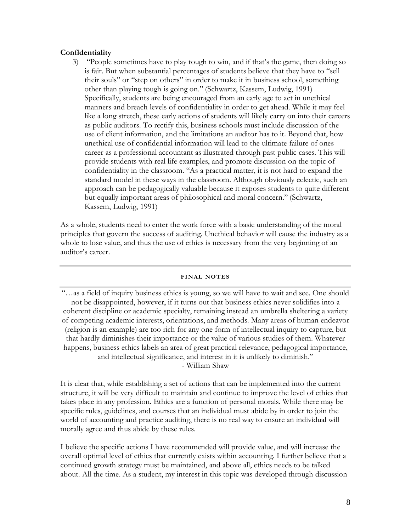## **Confidentiality**

3) "People sometimes have to play tough to win, and if that's the game, then doing so is fair. But when substantial percentages of students believe that they have to "sell their souls" or "step on others" in order to make it in business school, something other than playing tough is going on." (Schwartz, Kassem, Ludwig, 1991) Specifically, students are being encouraged from an early age to act in unethical manners and breach levels of confidentiality in order to get ahead. While it may feel like a long stretch, these early actions of students will likely carry on into their careers as public auditors. To rectify this, business schools must include discussion of the use of client information, and the limitations an auditor has to it. Beyond that, how unethical use of confidential information will lead to the ultimate failure of ones career as a professional accountant as illustrated through past public cases. This will provide students with real life examples, and promote discussion on the topic of confidentiality in the classroom. "As a practical matter, it is not hard to expand the standard model in these ways in the classroom. Although obviously eclectic, such an approach can be pedagogically valuable because it exposes students to quite different but equally important areas of philosophical and moral concern." (Schwartz, Kassem, Ludwig, 1991)

As a whole, students need to enter the work force with a basic understanding of the moral principles that govern the success of auditing. Unethical behavior will cause the industry as a whole to lose value, and thus the use of ethics is necessary from the very beginning of an auditor's career.

#### **FINAL NOTES**

"…as a field of inquiry business ethics is young, so we will have to wait and see. One should not be disappointed, however, if it turns out that business ethics never solidifies into a coherent discipline or academic specialty, remaining instead an umbrella sheltering a variety of competing academic interests, orientations, and methods. Many areas of human endeavor (religion is an example) are too rich for any one form of intellectual inquiry to capture, but that hardly diminishes their importance or the value of various studies of them. Whatever happens, business ethics labels an area of great practical relevance, pedagogical importance, and intellectual significance, and interest in it is unlikely to diminish." - William Shaw

It is clear that, while establishing a set of actions that can be implemented into the current structure, it will be very difficult to maintain and continue to improve the level of ethics that takes place in any profession. Ethics are a function of personal morals. While there may be specific rules, guidelines, and courses that an individual must abide by in order to join the world of accounting and practice auditing, there is no real way to ensure an individual will morally agree and thus abide by these rules.

I believe the specific actions I have recommended will provide value, and will increase the overall optimal level of ethics that currently exists within accounting. I further believe that a continued growth strategy must be maintained, and above all, ethics needs to be talked about. All the time. As a student, my interest in this topic was developed through discussion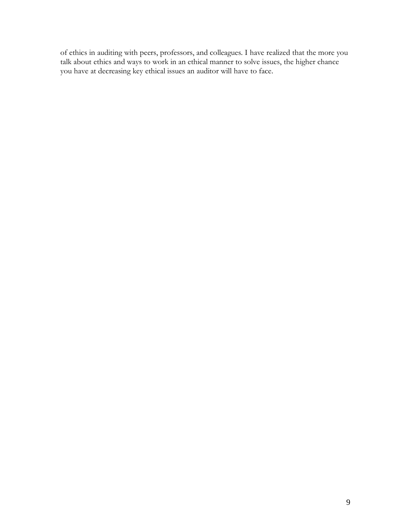of ethics in auditing with peers, professors, and colleagues. I have realized that the more you talk about ethics and ways to work in an ethical manner to solve issues, the higher chance you have at decreasing key ethical issues an auditor will have to face.